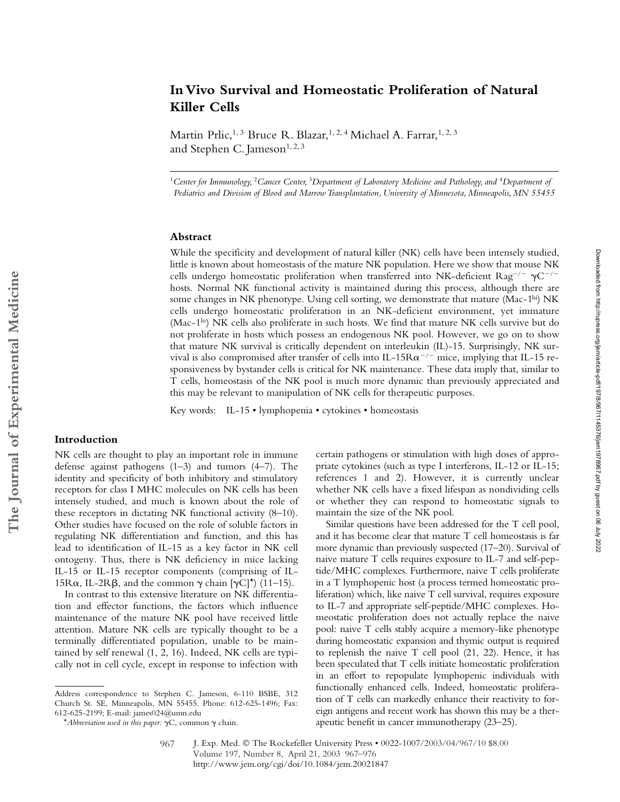# **In Vivo Survival and Homeostatic Proliferation of Natural Killer Cells**

Martin Prlic,<sup>1, 3</sup> Bruce R. Blazar,<sup>1, 2, 4</sup> Michael A. Farrar,<sup>1, 2, 3</sup> and Stephen C. Jameson<sup>1, 2, 3</sup>

<sup>1</sup>*Center for Immunology,* <sup>2</sup>*Cancer Center,* <sup>3</sup>*Department of Laboratory Medicine and Pathology, and* <sup>4</sup>*Department of Pediatrics and Division of Blood and Marrow Transplantation, University of Minnesota, Minneapolis, MN 55455*

# **Abstract**

While the specificity and development of natural killer (NK) cells have been intensely studied, little is known about homeostasis of the mature NK population. Here we show that mouse NK cells undergo homeostatic proliferation when transferred into NK-deficient  $\text{Rag}^{-/-}$   $\gamma \text{C}^{-/-}$ hosts. Normal NK functional activity is maintained during this process, although there are some changes in NK phenotype. Using cell sorting, we demonstrate that mature (Mac-1<sup>hi</sup>) NK cells undergo homeostatic proliferation in an NK-deficient environment, yet immature (Mac-1<sup>lo</sup>) NK cells also proliferate in such hosts. We find that mature NK cells survive but do not proliferate in hosts which possess an endogenous NK pool. However, we go on to show that mature NK survival is critically dependent on interleukin (IL)-15. Surprisingly, NK survival is also compromised after transfer of cells into IL-15 $Ra^{-/-}$  mice, implying that IL-15 responsiveness by bystander cells is critical for NK maintenance. These data imply that, similar to T cells, homeostasis of the NK pool is much more dynamic than previously appreciated and this may be relevant to manipulation of NK cells for therapeutic purposes.

Key words: IL-15 • lymphopenia • cytokines • homeostasis

## **Introduction**

NK cells are thought to play an important role in immune defense against pathogens (1–3) and tumors (4–7). The identity and specificity of both inhibitory and stimulatory receptors for class I MHC molecules on NK cells has been intensely studied, and much is known about the role of these receptors in dictating NK functional activity (8–10). Other studies have focused on the role of soluble factors in regulating NK differentiation and function, and this has lead to identification of IL-15 as a key factor in NK cell ontogeny. Thus, there is NK deficiency in mice lacking IL-15 or IL-15 receptor components (comprising of IL-15R $\alpha$ , IL-2R $\beta$ , and the common  $\gamma$  chain  $[\gamma C]^*$  (11–15).

In contrast to this extensive literature on NK differentiation and effector functions, the factors which influence maintenance of the mature NK pool have received little attention. Mature NK cells are typically thought to be a terminally differentiated population, unable to be maintained by self renewal (1, 2, 16). Indeed, NK cells are typically not in cell cycle, except in response to infection with

certain pathogens or stimulation with high doses of appropriate cytokines (such as type I interferons, IL-12 or IL-15; references 1 and 2). However, it is currently unclear whether NK cells have a fixed lifespan as nondividing cells or whether they can respond to homeostatic signals to maintain the size of the NK pool.

Similar questions have been addressed for the T cell pool, and it has become clear that mature T cell homeostasis is far more dynamic than previously suspected (17–20). Survival of naive mature T cells requires exposure to IL-7 and self-peptide/MHC complexes. Furthermore, naive T cells proliferate in a T lymphopenic host (a process termed homeostatic proliferation) which, like naive T cell survival, requires exposure to IL-7 and appropriate self-peptide/MHC complexes. Homeostatic proliferation does not actually replace the naive pool: naive T cells stably acquire a memory-like phenotype during homeostatic expansion and thymic output is required to replenish the naive T cell pool (21, 22). Hence, it has been speculated that T cells initiate homeostatic proliferation in an effort to repopulate lymphopenic individuals with functionally enhanced cells. Indeed, homeostatic proliferation of T cells can markedly enhance their reactivity to foreign antigens and recent work has shown this may be a therapeutic benefit in cancer immunotherapy (23–25).

Address correspondence to Stephen C. Jameson, 6-110 BSBE, 312 Church St. SE, Minneapolis, MN 55455. Phone: 612-625-1496; Fax: 612-625-2199; E-mail: james024@umn.edu

<sup>\*</sup>*Abbreviation used in this paper:*  $\gamma C$ , common  $\gamma$  chain.

J. Exp. Med. © The Rockefeller University Press • 0022-1007/2003/04/967/10 \$8.00 Volume 197, Number 8, April 21, 2003 967–976 http://www.jem.org/cgi/doi/10.1084/jem.20021847 967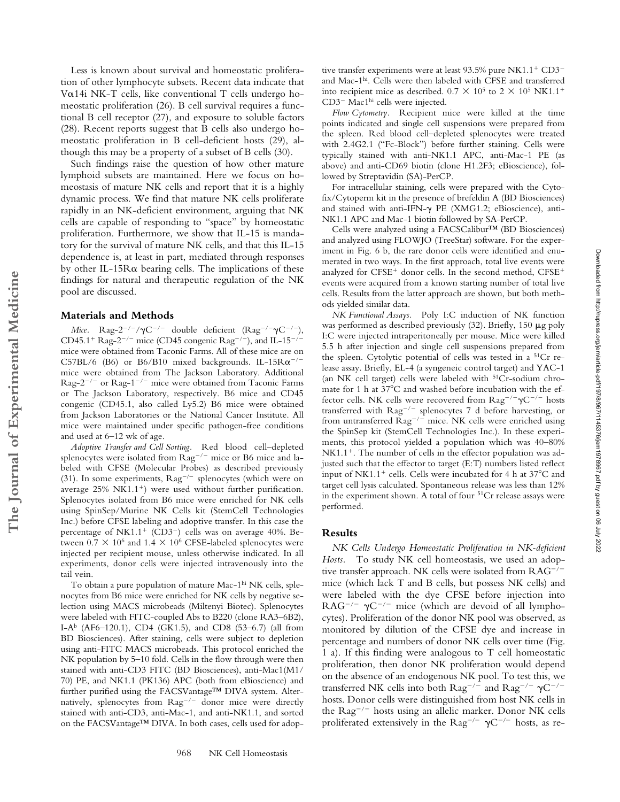Less is known about survival and homeostatic proliferation of other lymphocyte subsets. Recent data indicate that V $\alpha$ 14i NK-T cells, like conventional T cells undergo homeostatic proliferation (26). B cell survival requires a functional B cell receptor (27), and exposure to soluble factors (28). Recent reports suggest that B cells also undergo homeostatic proliferation in B cell-deficient hosts (29), although this may be a property of a subset of B cells (30).

Such findings raise the question of how other mature lymphoid subsets are maintained. Here we focus on homeostasis of mature NK cells and report that it is a highly dynamic process. We find that mature NK cells proliferate rapidly in an NK-deficient environment, arguing that NK cells are capable of responding to "space" by homeostatic proliferation. Furthermore, we show that IL-15 is mandatory for the survival of mature NK cells, and that this IL-15 dependence is, at least in part, mediated through responses by other IL-15R $\alpha$  bearing cells. The implications of these findings for natural and therapeutic regulation of the NK pool are discussed.

#### **Materials and Methods**

**The Journal of Experimental Medicine**

The Journal of Experimental Medicine

*Mice.* Rag-2<sup>-/-</sup>/ $\gamma$ C<sup>-/-</sup> double deficient (Rag<sup>-/-</sup> $\gamma$ C<sup>-/-</sup>), CD45.1<sup>+</sup> Rag-2<sup>-/-</sup> mice (CD45 congenic Rag<sup>-/-</sup>), and IL-15<sup>-/-</sup> mice were obtained from Taconic Farms. All of these mice are on C57BL/6 (B6) or B6/B10 mixed backgrounds. IL-15R $\alpha$ <sup>-/-</sup> mice were obtained from The Jackson Laboratory. Additional Rag-2<sup>-/-</sup> or Rag-1<sup>-/-</sup> mice were obtained from Taconic Farms or The Jackson Laboratory, respectively. B6 mice and CD45 congenic (CD45.1, also called Ly5.2) B6 mice were obtained from Jackson Laboratories or the National Cancer Institute. All mice were maintained under specific pathogen-free conditions and used at 6–12 wk of age.

*Adoptive Transfer and Cell Sorting.* Red blood cell–depleted splenocytes were isolated from  $\text{Rag}^{-/-}$  mice or B6 mice and labeled with CFSE (Molecular Probes) as described previously (31). In some experiments,  $\text{Rag}^{-/-}$  splenocytes (which were on average  $25\%$  NK1.1<sup>+</sup>) were used without further purification. Splenocytes isolated from B6 mice were enriched for NK cells using SpinSep/Murine NK Cells kit (StemCell Technologies Inc.) before CFSE labeling and adoptive transfer. In this case the percentage of NK1.1<sup>+</sup> (CD3<sup>-</sup>) cells was on average 40%. Between  $0.7 \times 10^6$  and  $1.4 \times 10^6$  CFSE-labeled splenocytes were injected per recipient mouse, unless otherwise indicated. In all experiments, donor cells were injected intravenously into the tail vein.

To obtain a pure population of mature Mac-1<sup>hi</sup> NK cells, splenocytes from B6 mice were enriched for NK cells by negative selection using MACS microbeads (Miltenyi Biotec). Splenocytes were labeled with FITC-coupled Abs to B220 (clone RA3–6B2), I-A<sup>b</sup> (AF6–120.1), CD4 (GK1.5), and CD8 (53–6.7) (all from BD Biosciences). After staining, cells were subject to depletion using anti-FITC MACS microbeads. This protocol enriched the NK population by 5–10 fold. Cells in the flow through were then stained with anti-CD3 FITC (BD Biosciences), anti-Mac1(M1/ 70) PE, and NK1.1 (PK136) APC (both from eBioscience) and further purified using the FACSVantage™ DIVA system. Alternatively, splenocytes from Rag<sup>-/-</sup> donor mice were directly stained with anti-CD3, anti-Mac-1, and anti-NK1.1, and sorted on the FACSVantage™ DIVA. In both cases, cells used for adop-

tive transfer experiments were at least 93.5% pure NK1.1<sup>+</sup> CD3<sup>-</sup> and Mac-1hi. Cells were then labeled with CFSE and transferred into recipient mice as described.  $0.7 \times 10^5$  to  $2 \times 10^5$  NK1.1<sup>+</sup> CD3<sup>-</sup> Mac1<sup>hi</sup> cells were injected.

*Flow Cytometry.* Recipient mice were killed at the time points indicated and single cell suspensions were prepared from the spleen. Red blood cell–depleted splenocytes were treated with 2.4G2.1 ("Fc-Block") before further staining. Cells were typically stained with anti-NK1.1 APC, anti-Mac-1 PE (as above) and anti-CD69 biotin (clone H1.2F3; eBioscience), followed by Streptavidin (SA)-PerCP.

For intracellular staining, cells were prepared with the Cytofix/Cytoperm kit in the presence of brefeldin A (BD Biosciences) and stained with anti-IFN- $\gamma$  PE (XMG1.2; eBioscience), anti-NK1.1 APC and Mac-1 biotin followed by SA-PerCP.

Cells were analyzed using a FACSCalibur™ (BD Biosciences) and analyzed using FLOWJO (TreeStar) software. For the experiment in Fig. 6 b, the rare donor cells were identified and enumerated in two ways. In the first approach, total live events were analyzed for CFSE<sup>+</sup> donor cells. In the second method,  $CFSE<sup>+</sup>$ events were acquired from a known starting number of total live cells. Results from the latter approach are shown, but both methods yielded similar data.

*NK Functional Assays.* Poly I:C induction of NK function was performed as described previously  $(32)$ . Briefly, 150  $\mu$ g poly I:C were injected intraperitoneally per mouse. Mice were killed 5.5 h after injection and single cell suspensions prepared from the spleen. Cytolytic potential of cells was tested in a 51Cr release assay. Briefly, EL-4 (a syngeneic control target) and YAC-1 (an NK cell target) cells were labeled with 51Cr-sodium chromate for 1 h at 37 C and washed before incubation with the effector cells. NK cells were recovered from  $\text{Rag}^{-/-} \gamma \text{C}^{-/-}$  hosts transferred with Rag<sup>-/-</sup> splenocytes 7 d before harvesting, or from untransferred Rag<sup>-/-</sup> mice. NK cells were enriched using the SpinSep kit (StemCell Technologies Inc.). In these experiments, this protocol yielded a population which was 40–80%  $NK1.1<sup>+</sup>$ . The number of cells in the effector population was adjusted such that the effector to target (E:T) numbers listed reflect input of NK1.1<sup>+</sup> cells. Cells were incubated for 4 h at  $37^{\circ}$ C and target cell lysis calculated. Spontaneous release was less than 12% in the experiment shown. A total of four 51Cr release assays were performed.

## **Results**

*NK Cells Undergo Homeostatic Proliferation in NK-deficient Hosts.* To study NK cell homeostasis, we used an adoptive transfer approach. NK cells were isolated from RAG<sup>-/-</sup> mice (which lack T and B cells, but possess NK cells) and were labeled with the dye CFSE before injection into  $RAG^{-/-}$   $\gamma C^{-/-}$  mice (which are devoid of all lymphocytes). Proliferation of the donor NK pool was observed, as monitored by dilution of the CFSE dye and increase in percentage and numbers of donor NK cells over time (Fig. 1 a). If this finding were analogous to T cell homeostatic proliferation, then donor NK proliferation would depend on the absence of an endogenous NK pool. To test this, we transferred NK cells into both  $\text{Rag}^{-/-}$  and  $\text{Rag}^{-/-} \gamma \text{C}^{-/-}$ hosts. Donor cells were distinguished from host NK cells in the Rag<sup>-/-</sup> hosts using an allelic marker. Donor NK cells proliferated extensively in the  $\text{Rag}^{-/-}$   $\gamma \text{C}^{-/-}$  hosts, as re-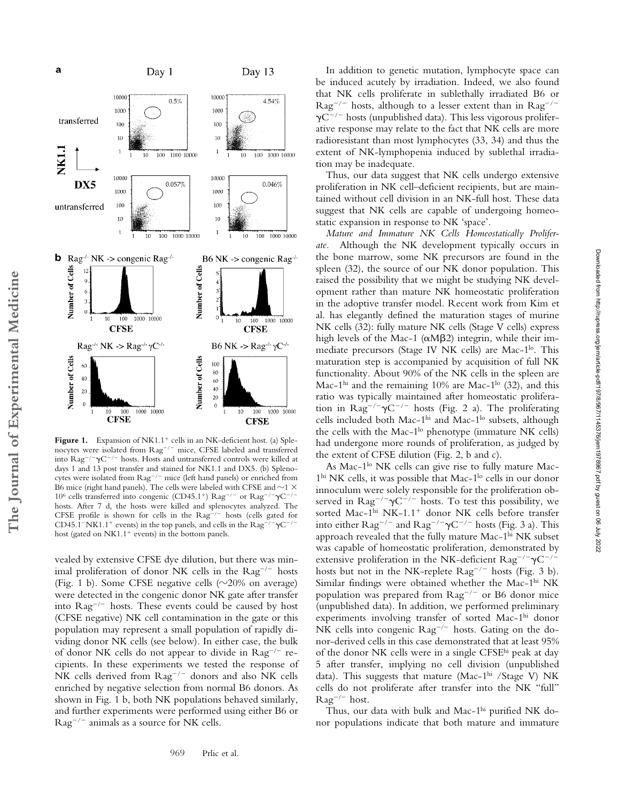

Figure 1. Expansion of NK1.1<sup>+</sup> cells in an NK-deficient host. (a) Splenocytes were isolated from Rag<sup>-/-</sup> mice, CFSE labeled and transferred into  $\text{Rag}^{-/-} \gamma \text{C}^{-/-}$  hosts. Hosts and untransferred controls were killed at days 1 and 13 post transfer and stained for NK1.1 and DX5. (b) Splenocytes were isolated from Rag<sup>-/-</sup> mice (left hand panels) or enriched from B6 mice (right hand panels). The cells were labeled with CFSE and  ${\sim}1$   ${\times}$ 10<sup>6</sup> cells transferred into congenic (CD45.1<sup>+</sup>)  $\text{Rag}^{-/-}$  or  $\text{Rag}^{-/-}\gamma\text{C}^{-/-}$ hosts. After 7 d, the hosts were killed and splenocytes analyzed. The CFSE profile is shown for cells in the  $\text{Rag}^{-/-}$  hosts (cells gated for CD45.1<sup>-</sup>NK1.1<sup>+</sup> events) in the top panels, and cells in the  $\text{Rag}^{-/-} \gamma \text{C}^{-/-}$ host (gated on  $N<sub>K1.1</sub><sup>+</sup>$  events) in the bottom panels.

**The Journal of Experimental Medicine**

The Journal of Experimental Medicine

vealed by extensive CFSE dye dilution, but there was minimal proliferation of donor NK cells in the  $\text{Rag}^{-/-}$  hosts (Fig. 1 b). Some CFSE negative cells ( $\sim$ 20% on average) were detected in the congenic donor NK gate after transfer into Rag<sup>-/-</sup> hosts. These events could be caused by host (CFSE negative) NK cell contamination in the gate or this population may represent a small population of rapidly dividing donor NK cells (see below). In either case, the bulk of donor NK cells do not appear to divide in Rag<sup>-/-</sup> recipients. In these experiments we tested the response of NK cells derived from Rag<sup>-/-</sup> donors and also NK cells enriched by negative selection from normal B6 donors. As shown in Fig. 1 b, both NK populations behaved similarly, and further experiments were performed using either B6 or  $\text{Rag}^{-/-}$  animals as a source for NK cells.

In addition to genetic mutation, lymphocyte space can be induced acutely by irradiation. Indeed, we also found that NK cells proliferate in sublethally irradiated B6 or  $\text{Rag}^{-/-}$  hosts, although to a lesser extent than in  $\text{Rag}^{-/-}$  $\gamma$ C<sup>-/-</sup> hosts (unpublished data). This less vigorous proliferative response may relate to the fact that NK cells are more radioresistant than most lymphocytes (33, 34) and thus the extent of NK-lymphopenia induced by sublethal irradiation may be inadequate.

Thus, our data suggest that NK cells undergo extensive proliferation in NK cell–deficient recipients, but are maintained without cell division in an NK-full host. These data suggest that NK cells are capable of undergoing homeostatic expansion in response to NK 'space'.

*Mature and Immature NK Cells Homeostatically Prolifer-*Although the NK development typically occurs in the bone marrow, some NK precursors are found in the spleen (32), the source of our NK donor population. This raised the possibility that we might be studying NK development rather than mature NK homeostatic proliferation in the adoptive transfer model. Recent work from Kim et al. has elegantly defined the maturation stages of murine NK cells (32): fully mature NK cells (Stage V cells) express high levels of the Mac-1 ( $\alpha$ M $\beta$ 2) integrin, while their immediate precursors (Stage IV NK cells) are Mac-1<sup>lo</sup>. This maturation step is accompanied by acquisition of full NK functionality. About 90% of the NK cells in the spleen are Mac-1<sup>hi</sup> and the remaining 10% are Mac-1<sup>lo</sup> (32), and this ratio was typically maintained after homeostatic proliferation in  $\text{Rag}^{-/-} \gamma \text{C}^{-/-}$  hosts (Fig. 2 a). The proliferating cells included both Mac-1<sup>hi</sup> and Mac-1<sup>lo</sup> subsets, although the cells with the Mac-1<sup>lo</sup> phenotype (immature NK cells) had undergone more rounds of proliferation, as judged by the extent of CFSE dilution (Fig. 2, b and c).

As Mac-1<sup>lo</sup> NK cells can give rise to fully mature Mac- $1<sup>hi</sup> N K$  cells, it was possible that Mac- $1<sup>lo</sup>$  cells in our donor innoculum were solely responsible for the proliferation observed in  $\text{Rag}^{-/-} \gamma \text{C}^{-/-}$  hosts. To test this possibility, we sorted Mac-1hi NK-1.1<sup>+</sup> donor NK cells before transfer into either  $\text{Rag}^{-/-}$  and  $\text{Rag}^{-/-}\gamma \text{C}^{-/-}$  hosts (Fig. 3 a). This approach revealed that the fully mature Mac-1hi NK subset was capable of homeostatic proliferation, demonstrated by extensive proliferation in the NK-deficient  $\text{Rag}^{-/-} \gamma \text{C}^{-/-}$ hosts but not in the NK-replete  $\text{Rag}^{-/-}$  hosts (Fig. 3 b). Similar findings were obtained whether the Mac- $1<sup>hi</sup> N K$ population was prepared from Rag<sup>-/-</sup> or B6 donor mice (unpublished data). In addition, we performed preliminary experiments involving transfer of sorted Mac-1hi donor NK cells into congenic Rag<sup>-/-</sup> hosts. Gating on the donor-derived cells in this case demonstrated that at least 95% of the donor NK cells were in a single CFSEhi peak at day 5 after transfer, implying no cell division (unpublished data). This suggests that mature (Mac-1<sup>hi</sup> /Stage V) NK cells do not proliferate after transfer into the NK "full"  $\text{Rag}^{-/-}$  host.

Thus, our data with bulk and Mac-1hi purified NK donor populations indicate that both mature and immature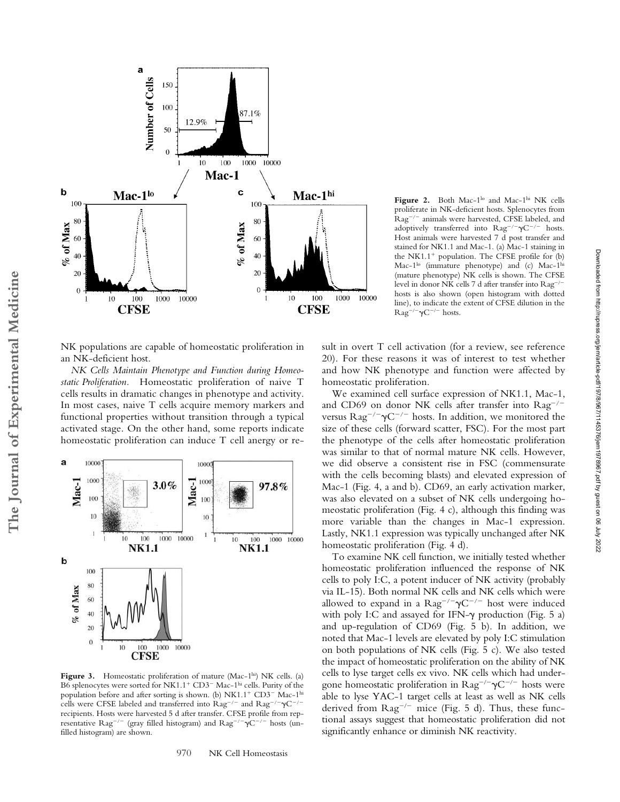

NK populations are capable of homeostatic proliferation in an NK-deficient host.

*NK Cells Maintain Phenotype and Function during Homeostatic Proliferation.* Homeostatic proliferation of naive T cells results in dramatic changes in phenotype and activity. In most cases, naive T cells acquire memory markers and functional properties without transition through a typical activated stage. On the other hand, some reports indicate homeostatic proliferation can induce T cell anergy or re-

**The Journal of Experimental Medicine**

The Journal of Experimental Medicine



Figure 3. Homeostatic proliferation of mature (Mac-1hi) NK cells. (a) B6 splenocytes were sorted for NK1.1<sup>+</sup> CD3<sup>–</sup> Mac-1<sup>hi</sup> cells. Purity of the population before and after sorting is shown. (b) NK1.1<sup>+</sup> CD3<sup>-</sup> Mac-1<sup>hi</sup> cells were CFSE labeled and transferred into  $\text{Rag}^{-/-}$  and  $\text{Rag}^{-/-} \gamma \text{C}^{-/-}$ recipients. Hosts were harvested 5 d after transfer. CFSE profile from representative  $\text{Rag}^{-/-}$  (gray filled histogram) and  $\text{Rag}^{-/-}\gamma \text{C}^{-/-}$  hosts (unfilled histogram) are shown.

970 NK Cell Homeostasis

Figure 2. Both Mac-1<sup>lo</sup> and Mac-1<sup>hi</sup> NK cells proliferate in NK-deficient hosts. Splenocytes from Rag<sup>-/-</sup> animals were harvested, CFSE labeled, and adoptively transferred into  $\text{Rag}^{-/-} \gamma \text{C}^{-/-}$  hosts. Host animals were harvested 7 d post transfer and stained for NK1.1 and Mac-1. (a) Mac-1 staining in the NK1.1<sup>+</sup> population. The CFSE profile for  $(b)$ Mac-1<sup>lo</sup> (immature phenotype) and (c) Mac-1<sup>hi</sup> (mature phenotype) NK cells is shown. The CFSE level in donor NK cells 7 d after transfer into Rag<sup>-/-</sup> hosts is also shown (open histogram with dotted line), to indicate the extent of CFSE dilution in the  $\text{Rag}^{-/-}\gamma \text{C}^{-/-}$  hosts.

sult in overt T cell activation (for a review, see reference 20). For these reasons it was of interest to test whether and how NK phenotype and function were affected by homeostatic proliferation.

We examined cell surface expression of NK1.1, Mac-1, and CD69 on donor NK cells after transfer into  $\text{Rag}^{-/-}$ versus  $\text{Rag}^{-/-} \gamma \text{C}^{-/-}$  hosts. In addition, we monitored the size of these cells (forward scatter, FSC). For the most part the phenotype of the cells after homeostatic proliferation was similar to that of normal mature NK cells. However, we did observe a consistent rise in FSC (commensurate with the cells becoming blasts) and elevated expression of Mac-1 (Fig. 4, a and b). CD69, an early activation marker, was also elevated on a subset of NK cells undergoing homeostatic proliferation (Fig. 4 c), although this finding was more variable than the changes in Mac-1 expression. Lastly, NK1.1 expression was typically unchanged after NK homeostatic proliferation (Fig. 4 d).

To examine NK cell function, we initially tested whether homeostatic proliferation influenced the response of NK cells to poly I:C, a potent inducer of NK activity (probably via IL-15). Both normal NK cells and NK cells which were allowed to expand in a  $\text{Rag}^{-/-}\gamma \text{C}^{-/-}$  host were induced with poly I:C and assayed for IFN- $\gamma$  production (Fig. 5 a) and up-regulation of CD69 (Fig. 5 b). In addition, we noted that Mac-1 levels are elevated by poly I:C stimulation on both populations of NK cells (Fig. 5 c). We also tested the impact of homeostatic proliferation on the ability of NK cells to lyse target cells ex vivo. NK cells which had undergone homeostatic proliferation in  $\text{Rag}^{-/-} \gamma \text{C}^{-/-}$  hosts were able to lyse YAC-1 target cells at least as well as NK cells derived from  $\text{Rag}^{-/-}$  mice (Fig. 5 d). Thus, these functional assays suggest that homeostatic proliferation did not significantly enhance or diminish NK reactivity.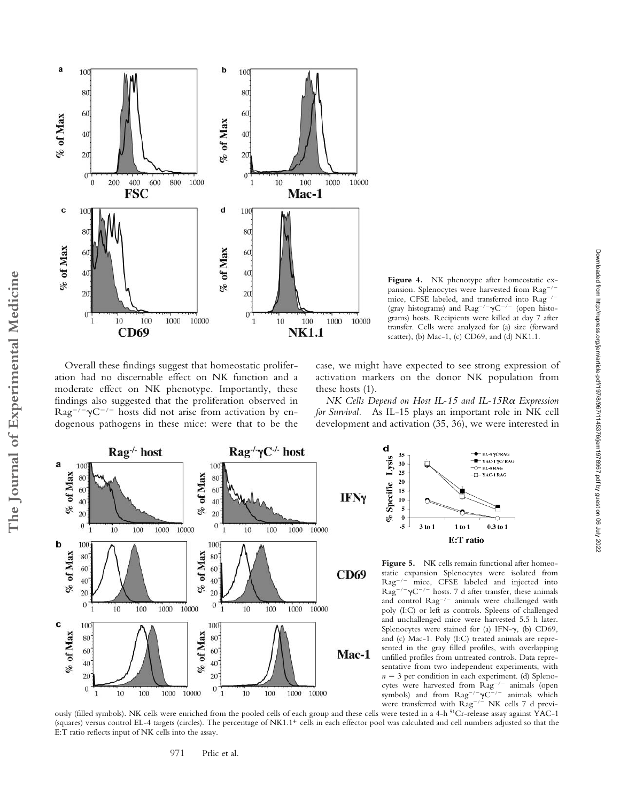

**Figure 4.** NK phenotype after homeostatic expansion. Splenocytes were harvested from Rag-/mice, CFSE labeled, and transferred into Rag-/-(gray histograms) and  $\text{Rag}^{-/-} \gamma \text{C}^{-/-}$  (open histograms) hosts. Recipients were killed at day 7 after transfer. Cells were analyzed for (a) size (forward scatter), (b) Mac-1, (c) CD69, and (d) NK1.1.

Overall these findings suggest that homeostatic proliferation had no discernable effect on NK function and a moderate effect on NK phenotype. Importantly, these findings also suggested that the proliferation observed in  $\text{Rag}^{-/-} \gamma \text{C}^{-/-}$  hosts did not arise from activation by endogenous pathogens in these mice: were that to be the

**The Journal of Experimental Medicine**

The Journal of Experimental Medicine

case, we might have expected to see strong expression of activation markers on the donor NK population from these hosts (1).

*NK Cells Depend on Host IL-15 and IL-15R* $\alpha$  *Expression for Survival.* As IL-15 plays an important role in NK cell development and activation (35, 36), we were interested in





Figure 5. NK cells remain functional after homeostatic expansion Splenocytes were isolated from Rag-/ mice, CFSE labeled and injected into  $\text{Rag}^{-/-}\gamma \text{C}^{-/-}$  hosts. 7 d after transfer, these animals and control  $\text{Rag}^{-/-}$  animals were challenged with poly (I:C) or left as controls. Spleens of challenged and unchallenged mice were harvested 5.5 h later. Splenocytes were stained for (a) IFN- $\gamma$ , (b) CD69, and (c) Mac-1. Poly (I:C) treated animals are represented in the gray filled profiles, with overlapping unfilled profiles from untreated controls. Data representative from two independent experiments, with  $n = 3$  per condition in each experiment. (d) Splenocytes were harvested from Rag<sup>-/-</sup> animals (open symbols) and from  $\text{Rag}^{-/-}\gamma \text{C}^{-/-}$  animals which were transferred with  $\text{Rag}^{-/-}$  NK cells 7 d previ-

ously (filled symbols). NK cells were enriched from the pooled cells of each group and these cells were tested in a 4-h 51Cr-release assay against YAC-1 (squares) versus control EL-4 targets (circles). The percentage of NK1.1- cells in each effector pool was calculated and cell numbers adjusted so that the E:T ratio reflects input of NK cells into the assay.

971 Prlic et al.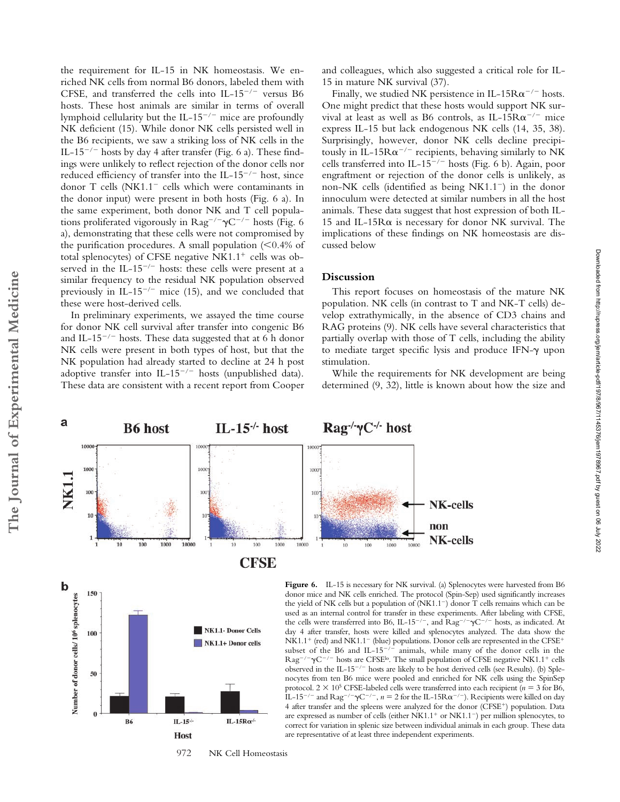the requirement for IL-15 in NK homeostasis. We enriched NK cells from normal B6 donors, labeled them with CFSE, and transferred the cells into IL-15<sup>-/-</sup> versus B6 hosts. These host animals are similar in terms of overall lymphoid cellularity but the IL-15<sup>-/-</sup> mice are profoundly NK deficient (15). While donor NK cells persisted well in the B6 recipients, we saw a striking loss of NK cells in the IL-15<sup>-/-</sup> hosts by day 4 after transfer (Fig. 6 a). These findings were unlikely to reflect rejection of the donor cells nor reduced efficiency of transfer into the IL-15<sup>-/-</sup> host, since donor T cells (NK1.1<sup>-</sup> cells which were contaminants in the donor input) were present in both hosts (Fig. 6 a). In the same experiment, both donor NK and T cell populations proliferated vigorously in  $\text{Rag}^{-/-} \gamma \text{C}^{-/-}$  hosts (Fig. 6 a), demonstrating that these cells were not compromised by the purification procedures. A small population  $(< 0.4\%$  of total splenocytes) of CFSE negative  $N<sub>K1.1</sub><sup>+</sup>$  cells was observed in the IL-15<sup>-/-</sup> hosts: these cells were present at a similar frequency to the residual NK population observed previously in IL-15<sup> $-/-$ </sup> mice (15), and we concluded that these were host-derived cells.

In preliminary experiments, we assayed the time course for donor NK cell survival after transfer into congenic B6 and IL-15 $^{-/-}$  hosts. These data suggested that at 6 h donor NK cells were present in both types of host, but that the NK population had already started to decline at 24 h post adoptive transfer into IL-15<sup>-/-</sup> hosts (unpublished data). These data are consistent with a recent report from Cooper and colleagues, which also suggested a critical role for IL-15 in mature NK survival (37).

Finally, we studied NK persistence in IL-15 $R\alpha^{-/-}$  hosts. One might predict that these hosts would support NK survival at least as well as B6 controls, as IL-15 $R\alpha^{-/-}$  mice express IL-15 but lack endogenous NK cells (14, 35, 38). Surprisingly, however, donor NK cells decline precipitously in IL-15 $R\alpha^{-/-}$  recipients, behaving similarly to NK cells transferred into IL-15<sup>-/-</sup> hosts (Fig. 6 b). Again, poor engraftment or rejection of the donor cells is unlikely, as non-NK cells (identified as being NK1.1-) in the donor innoculum were detected at similar numbers in all the host animals. These data suggest that host expression of both IL-15 and IL-15R $\alpha$  is necessary for donor NK survival. The implications of these findings on NK homeostasis are discussed below

### **Discussion**

This report focuses on homeostasis of the mature NK population. NK cells (in contrast to T and NK-T cells) develop extrathymically, in the absence of CD3 chains and RAG proteins (9). NK cells have several characteristics that partially overlap with those of T cells, including the ability to mediate target specific lysis and produce IFN- $\gamma$  upon stimulation.

While the requirements for NK development are being determined (9, 32), little is known about how the size and

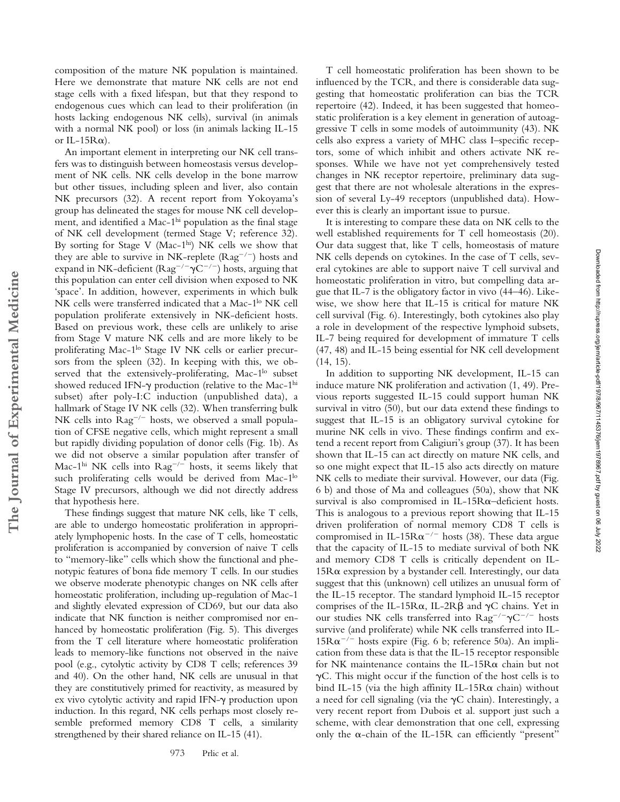composition of the mature NK population is maintained. Here we demonstrate that mature NK cells are not end stage cells with a fixed lifespan, but that they respond to endogenous cues which can lead to their proliferation (in hosts lacking endogenous NK cells), survival (in animals with a normal NK pool) or loss (in animals lacking IL-15 or IL-15 $R\alpha$ ).

An important element in interpreting our NK cell transfers was to distinguish between homeostasis versus development of NK cells. NK cells develop in the bone marrow but other tissues, including spleen and liver, also contain NK precursors (32). A recent report from Yokoyama's group has delineated the stages for mouse NK cell development, and identified a Mac-1<sup>hi</sup> population as the final stage of NK cell development (termed Stage V; reference 32). By sorting for Stage V (Mac-1hi) NK cells we show that they are able to survive in NK-replete  $(Rag^{-/-})$  hosts and expand in NK-deficient ( $\text{Rag}^{-/-} \gamma \text{C}^{-/-}$ ) hosts, arguing that this population can enter cell division when exposed to NK 'space'. In addition, however, experiments in which bulk NK cells were transferred indicated that a Mac-1<sup>lo</sup> NK cell population proliferate extensively in NK-deficient hosts. Based on previous work, these cells are unlikely to arise from Stage V mature NK cells and are more likely to be proliferating Mac-1<sup>lo</sup> Stage IV NK cells or earlier precursors from the spleen (32). In keeping with this, we observed that the extensively-proliferating, Mac-1<sup>lo</sup> subset showed reduced IFN- $\gamma$  production (relative to the Mac-1<sup>hi</sup> subset) after poly-I:C induction (unpublished data), a hallmark of Stage IV NK cells (32). When transferring bulk NK cells into Rag<sup>-/-</sup> hosts, we observed a small population of CFSE negative cells, which might represent a small but rapidly dividing population of donor cells (Fig. 1b). As we did not observe a similar population after transfer of Mac-1<sup>hi</sup> NK cells into  $\text{Rag}^{-/-}$  hosts, it seems likely that such proliferating cells would be derived from Mac-1<sup>lo</sup> Stage IV precursors, although we did not directly address that hypothesis here.

**The Journal of Experimental Medicine**

The Journal of Experimental Medicine

These findings suggest that mature NK cells, like T cells, are able to undergo homeostatic proliferation in appropriately lymphopenic hosts. In the case of T cells, homeostatic proliferation is accompanied by conversion of naive T cells to "memory-like" cells which show the functional and phenotypic features of bona fide memory T cells. In our studies we observe moderate phenotypic changes on NK cells after homeostatic proliferation, including up-regulation of Mac-1 and slightly elevated expression of CD69, but our data also indicate that NK function is neither compromised nor enhanced by homeostatic proliferation (Fig. 5). This diverges from the T cell literature where homeostatic proliferation leads to memory-like functions not observed in the naive pool (e.g., cytolytic activity by CD8 T cells; references 39 and 40). On the other hand, NK cells are unusual in that they are constitutively primed for reactivity, as measured by ex vivo cytolytic activity and rapid IFN- $\gamma$  production upon induction. In this regard, NK cells perhaps most closely resemble preformed memory CD8 T cells, a similarity strengthened by their shared reliance on IL-15 (41).

973 Prlic et al.

T cell homeostatic proliferation has been shown to be influenced by the TCR, and there is considerable data suggesting that homeostatic proliferation can bias the TCR repertoire (42). Indeed, it has been suggested that homeostatic proliferation is a key element in generation of autoaggressive T cells in some models of autoimmunity (43). NK cells also express a variety of MHC class I–specific receptors, some of which inhibit and others activate NK responses. While we have not yet comprehensively tested changes in NK receptor repertoire, preliminary data suggest that there are not wholesale alterations in the expression of several Ly-49 receptors (unpublished data). However this is clearly an important issue to pursue.

It is interesting to compare these data on NK cells to the well established requirements for T cell homeostasis (20). Our data suggest that, like T cells, homeostasis of mature NK cells depends on cytokines. In the case of T cells, several cytokines are able to support naive T cell survival and homeostatic proliferation in vitro, but compelling data argue that IL-7 is the obligatory factor in vivo (44–46). Likewise, we show here that IL-15 is critical for mature NK cell survival (Fig. 6). Interestingly, both cytokines also play a role in development of the respective lymphoid subsets, IL-7 being required for development of immature T cells (47, 48) and IL-15 being essential for NK cell development (14, 15).

In addition to supporting NK development, IL-15 can induce mature NK proliferation and activation (1, 49). Previous reports suggested IL-15 could support human NK survival in vitro (50), but our data extend these findings to suggest that IL-15 is an obligatory survival cytokine for murine NK cells in vivo. These findings confirm and extend a recent report from Caligiuri's group (37). It has been shown that IL-15 can act directly on mature NK cells, and so one might expect that IL-15 also acts directly on mature NK cells to mediate their survival. However, our data (Fig. 6 b) and those of Ma and colleagues (50a), show that NK survival is also compromised in IL-15R $\alpha$ -deficient hosts. This is analogous to a previous report showing that IL-15 driven proliferation of normal memory CD8 T cells is compromised in IL-15 $R\alpha^{-/-}$  hosts (38). These data argue that the capacity of IL-15 to mediate survival of both NK and memory CD8 T cells is critically dependent on IL- $15R\alpha$  expression by a bystander cell. Interestingly, our data suggest that this (unknown) cell utilizes an unusual form of the IL-15 receptor. The standard lymphoid IL-15 receptor comprises of the IL-15R $\alpha$ , IL-2R $\beta$  and  $\gamma$ C chains. Yet in our studies NK cells transferred into  $\text{Rag}^{-/-} \gamma \text{C}^{-/-}$  hosts survive (and proliferate) while NK cells transferred into IL- $15R\alpha^{-/-}$  hosts expire (Fig. 6 b; reference 50a). An implication from these data is that the IL-15 receptor responsible for NK maintenance contains the IL-15R $\alpha$  chain but not  $\gamma$ C. This might occur if the function of the host cells is to bind IL-15 (via the high affinity IL-15R $\alpha$  chain) without a need for cell signaling (via the  $\gamma C$  chain). Interestingly, a very recent report from Dubois et al. support just such a scheme, with clear demonstration that one cell, expressing only the  $\alpha$ -chain of the IL-15R can efficiently "present"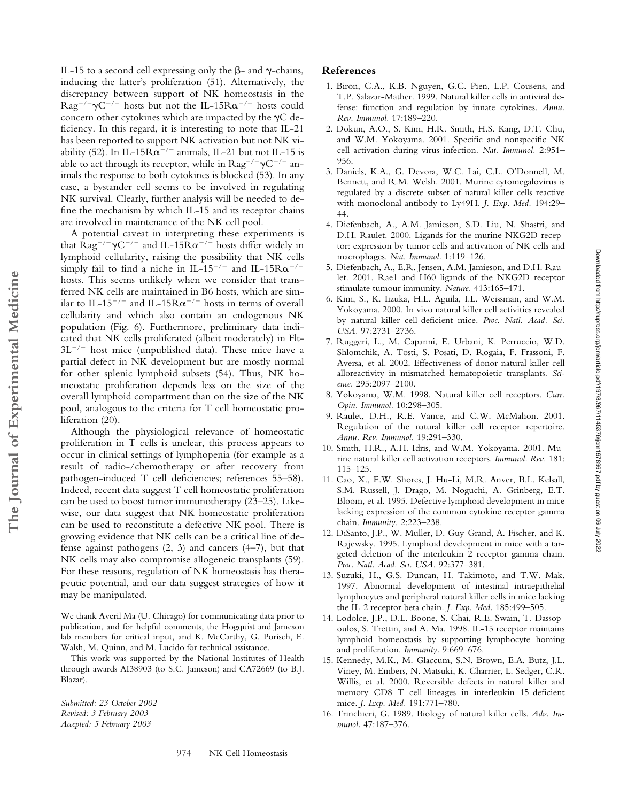IL-15 to a second cell expressing only the  $\beta$ - and  $\gamma$ -chains, inducing the latter's proliferation (51). Alternatively, the discrepancy between support of NK homeostasis in the  $\text{Rag}^{-/-} \gamma \text{C}^{-/-}$  hosts but not the IL-15 $\text{R}\alpha^{-/-}$  hosts could concern other cytokines which are impacted by the  $\gamma C$  deficiency. In this regard, it is interesting to note that IL-21 has been reported to support NK activation but not NK viability (52). In IL-15 $R\alpha^{-/-}$  animals, IL-21 but not IL-15 is able to act through its receptor, while in  $\text{Rag}^{-/-} \gamma \text{C}^{-/-}$  animals the response to both cytokines is blocked (53). In any case, a bystander cell seems to be involved in regulating NK survival. Clearly, further analysis will be needed to define the mechanism by which IL-15 and its receptor chains are involved in maintenance of the NK cell pool.

A potential caveat in interpreting these experiments is that  $\text{Rag}^{-/-} \gamma \text{C}^{-/-}$  and IL-15 $\text{R}\alpha^{-/-}$  hosts differ widely in lymphoid cellularity, raising the possibility that NK cells simply fail to find a niche in IL-15<sup>-/-</sup> and IL-15 $R\alpha^{-/-}$ hosts. This seems unlikely when we consider that transferred NK cells are maintained in B6 hosts, which are similar to IL-15<sup>-/-</sup> and IL-15 $R\alpha^{-/-}$  hosts in terms of overall cellularity and which also contain an endogenous NK population (Fig. 6). Furthermore, preliminary data indicated that NK cells proliferated (albeit moderately) in Flt- $3L^{-/-}$  host mice (unpublished data). These mice have a partial defect in NK development but are mostly normal for other splenic lymphoid subsets (54). Thus, NK homeostatic proliferation depends less on the size of the overall lymphoid compartment than on the size of the NK pool, analogous to the criteria for T cell homeostatic proliferation (20).

Although the physiological relevance of homeostatic proliferation in T cells is unclear, this process appears to occur in clinical settings of lymphopenia (for example as a result of radio-/chemotherapy or after recovery from pathogen-induced T cell deficiencies; references 55–58). Indeed, recent data suggest T cell homeostatic proliferation can be used to boost tumor immunotherapy (23–25). Likewise, our data suggest that NK homeostatic proliferation can be used to reconstitute a defective NK pool. There is growing evidence that NK cells can be a critical line of defense against pathogens (2, 3) and cancers (4–7), but that NK cells may also compromise allogeneic transplants (59). For these reasons, regulation of NK homeostasis has therapeutic potential, and our data suggest strategies of how it may be manipulated.

We thank Averil Ma (U. Chicago) for communicating data prior to publication, and for helpful comments, the Hogquist and Jameson lab members for critical input, and K. McCarthy, G. Porisch, E. Walsh, M. Quinn, and M. Lucido for technical assistance.

This work was supported by the National Institutes of Health through awards AI38903 (to S.C. Jameson) and CA72669 (to B.J. Blazar).

*Submitted: 23 October 2002 Revised: 3 February 2003 Accepted: 5 February 2003*

**The Journal of Experimental Medicine**

The Journal of Experimental Medicine

## **References**

- 1. Biron, C.A., K.B. Nguyen, G.C. Pien, L.P. Cousens, and T.P. Salazar-Mather. 1999. Natural killer cells in antiviral defense: function and regulation by innate cytokines. *Annu. Rev. Immunol.* 17:189–220.
- 2. Dokun, A.O., S. Kim, H.R. Smith, H.S. Kang, D.T. Chu, and W.M. Yokoyama. 2001. Specific and nonspecific NK cell activation during virus infection. *Nat. Immunol.* 2:951– 956.
- 3. Daniels, K.A., G. Devora, W.C. Lai, C.L. O'Donnell, M. Bennett, and R.M. Welsh. 2001. Murine cytomegalovirus is regulated by a discrete subset of natural killer cells reactive with monoclonal antibody to Ly49H. *J. Exp. Med.* 194:29– 44.
- 4. Diefenbach, A., A.M. Jamieson, S.D. Liu, N. Shastri, and D.H. Raulet. 2000. Ligands for the murine NKG2D receptor: expression by tumor cells and activation of NK cells and macrophages. *Nat. Immunol.* 1:119–126.
- 5. Diefenbach, A., E.R. Jensen, A.M. Jamieson, and D.H. Raulet. 2001. Rae1 and H60 ligands of the NKG2D receptor stimulate tumour immunity. *Nature.* 413:165–171.
- 6. Kim, S., K. Iizuka, H.L. Aguila, I.L. Weissman, and W.M. Yokoyama. 2000. In vivo natural killer cell activities revealed by natural killer cell-deficient mice. *Proc. Natl. Acad. Sci. USA.* 97:2731–2736.
- 7. Ruggeri, L., M. Capanni, E. Urbani, K. Perruccio, W.D. Shlomchik, A. Tosti, S. Posati, D. Rogaia, F. Frassoni, F. Aversa, et al. 2002. Effectiveness of donor natural killer cell alloreactivity in mismatched hematopoietic transplants. *Science.* 295:2097–2100.
- 8. Yokoyama, W.M. 1998. Natural killer cell receptors. *Curr. Opin. Immunol.* 10:298–305.
- 9. Raulet, D.H., R.E. Vance, and C.W. McMahon. 2001. Regulation of the natural killer cell receptor repertoire. *Annu. Rev. Immunol.* 19:291–330.
- 10. Smith, H.R., A.H. Idris, and W.M. Yokoyama. 2001. Murine natural killer cell activation receptors. *Immunol. Rev.* 181: 115–125.
- 11. Cao, X., E.W. Shores, J. Hu-Li, M.R. Anver, B.L. Kelsall, S.M. Russell, J. Drago, M. Noguchi, A. Grinberg, E.T. Bloom, et al. 1995. Defective lymphoid development in mice lacking expression of the common cytokine receptor gamma chain. *Immunity.* 2:223–238.
- 12. DiSanto, J.P., W. Muller, D. Guy-Grand, A. Fischer, and K. Rajewsky. 1995. Lymphoid development in mice with a targeted deletion of the interleukin 2 receptor gamma chain. *Proc. Natl. Acad. Sci. USA.* 92:377–381.
- 13. Suzuki, H., G.S. Duncan, H. Takimoto, and T.W. Mak. 1997. Abnormal development of intestinal intraepithelial lymphocytes and peripheral natural killer cells in mice lacking the IL-2 receptor beta chain. *J. Exp. Med.* 185:499–505.
- 14. Lodolce, J.P., D.L. Boone, S. Chai, R.E. Swain, T. Dassopoulos, S. Trettin, and A. Ma. 1998. IL-15 receptor maintains lymphoid homeostasis by supporting lymphocyte homing and proliferation. *Immunity.* 9:669–676.
- 15. Kennedy, M.K., M. Glaccum, S.N. Brown, E.A. Butz, J.L. Viney, M. Embers, N. Matsuki, K. Charrier, L. Sedger, C.R. Willis, et al. 2000. Reversible defects in natural killer and memory CD8 T cell lineages in interleukin 15-deficient mice. *J. Exp. Med.* 191:771–780.
- 16. Trinchieri, G. 1989. Biology of natural killer cells. *Adv. Immunol.* 47:187–376.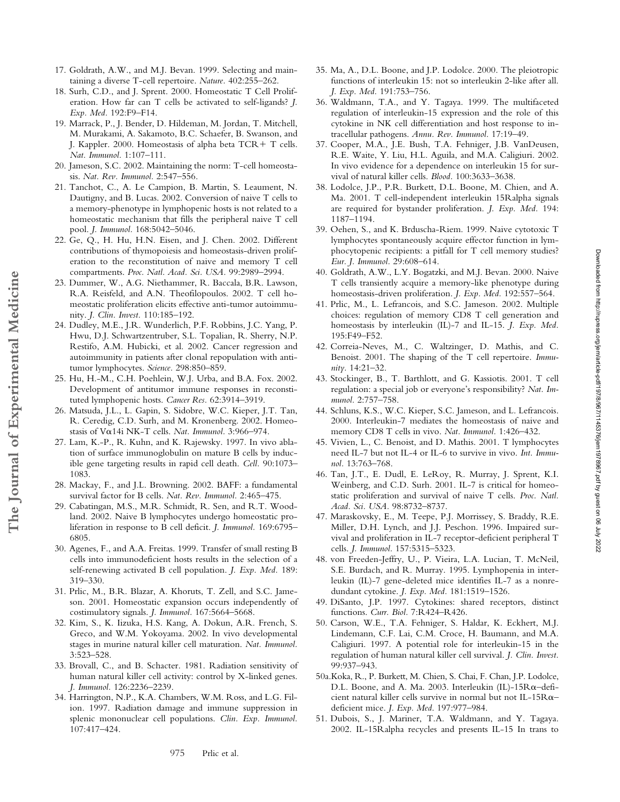- 17. Goldrath, A.W., and M.J. Bevan. 1999. Selecting and maintaining a diverse T-cell repertoire. *Nature.* 402:255–262.
- 18. Surh, C.D., and J. Sprent. 2000. Homeostatic T Cell Proliferation. How far can T cells be activated to self-ligands? *J. Exp. Med.* 192:F9–F14.
- 19. Marrack, P., J. Bender, D. Hildeman, M. Jordan, T. Mitchell, M. Murakami, A. Sakamoto, B.C. Schaefer, B. Swanson, and J. Kappler. 2000. Homeostasis of alpha beta  $TCR + T$  cells. *Nat. Immunol.* 1:107–111.
- 20. Jameson, S.C. 2002. Maintaining the norm: T-cell homeostasis. *Nat. Rev. Immunol.* 2:547–556.
- 21. Tanchot, C., A. Le Campion, B. Martin, S. Leaument, N. Dautigny, and B. Lucas. 2002. Conversion of naive T cells to a memory-phenotype in lymphopenic hosts is not related to a homeostatic mechanism that fills the peripheral naive T cell pool. *J. Immunol.* 168:5042–5046.
- 22. Ge, Q., H. Hu, H.N. Eisen, and J. Chen. 2002. Different contributions of thymopoiesis and homeostasis-driven proliferation to the reconstitution of naive and memory T cell compartments. *Proc. Natl. Acad. Sci. USA.* 99:2989–2994.
- 23. Dummer, W., A.G. Niethammer, R. Baccala, B.R. Lawson, R.A. Reisfeld, and A.N. Theofilopoulos. 2002. T cell homeostatic proliferation elicits effective anti-tumor autoimmunity. *J. Clin. Invest.* 110:185–192.
- 24. Dudley, M.E., J.R. Wunderlich, P.F. Robbins, J.C. Yang, P. Hwu, D.J. Schwartzentruber, S.L. Topalian, R. Sherry, N.P. Restifo, A.M. Hubicki, et al. 2002. Cancer regression and autoimmunity in patients after clonal repopulation with antitumor lymphocytes. *Science.* 298:850–859.
- 25. Hu, H.-M., C.H. Poehlein, W.J. Urba, and B.A. Fox. 2002. Development of antitumor immune responses in reconstituted lymphopenic hosts. *Cancer Res.* 62:3914–3919.

**The Journal of Experimental Medicine**

The Journal of Experimental Medicine

- 26. Matsuda, J.L., L. Gapin, S. Sidobre, W.C. Kieper, J.T. Tan, R. Ceredig, C.D. Surh, and M. Kronenberg. 2002. Homeostasis of  $V\alpha$ 14i NK-T cells. *Nat. Immunol.* 3:966–974.
- 27. Lam, K.-P., R. Kuhn, and K. Rajewsky. 1997. In vivo ablation of surface immunoglobulin on mature B cells by inducible gene targeting results in rapid cell death. *Cell.* 90:1073– 1083.
- 28. Mackay, F., and J.L. Browning. 2002. BAFF: a fundamental survival factor for B cells. *Nat. Rev. Immunol.* 2:465–475.
- 29. Cabatingan, M.S., M.R. Schmidt, R. Sen, and R.T. Woodland. 2002. Naive B lymphocytes undergo homeostatic proliferation in response to B cell deficit. *J. Immunol.* 169:6795– 6805.
- 30. Agenes, F., and A.A. Freitas. 1999. Transfer of small resting B cells into immunodeficient hosts results in the selection of a self-renewing activated B cell population. *J. Exp. Med.* 189: 319–330.
- 31. Prlic, M., B.R. Blazar, A. Khoruts, T. Zell, and S.C. Jameson. 2001. Homeostatic expansion occurs independently of costimulatory signals. *J. Immunol.* 167:5664–5668.
- 32. Kim, S., K. Iizuka, H.S. Kang, A. Dokun, A.R. French, S. Greco, and W.M. Yokoyama. 2002. In vivo developmental stages in murine natural killer cell maturation. *Nat. Immunol.* 3:523–528.
- 33. Brovall, C., and B. Schacter. 1981. Radiation sensitivity of human natural killer cell activity: control by X-linked genes. *J. Immunol.* 126:2236–2239.
- 34. Harrington, N.P., K.A. Chambers, W.M. Ross, and L.G. Filion. 1997. Radiation damage and immune suppression in splenic mononuclear cell populations. *Clin. Exp. Immunol.* 107:417–424.
- 35. Ma, A., D.L. Boone, and J.P. Lodolce. 2000. The pleiotropic functions of interleukin 15: not so interleukin 2-like after all. *J. Exp. Med.* 191:753–756.
- 36. Waldmann, T.A., and Y. Tagaya. 1999. The multifaceted regulation of interleukin-15 expression and the role of this cytokine in NK cell differentiation and host response to intracellular pathogens. *Annu. Rev. Immunol.* 17:19–49.
- 37. Cooper, M.A., J.E. Bush, T.A. Fehniger, J.B. VanDeusen, R.E. Waite, Y. Liu, H.L. Aguila, and M.A. Caligiuri. 2002. In vivo evidence for a dependence on interleukin 15 for survival of natural killer cells. *Blood.* 100:3633–3638.
- 38. Lodolce, J.P., P.R. Burkett, D.L. Boone, M. Chien, and A. Ma. 2001. T cell-independent interleukin 15Ralpha signals are required for bystander proliferation. *J. Exp. Med.* 194: 1187–1194.
- 39. Oehen, S., and K. Brduscha-Riem. 1999. Naive cytotoxic T lymphocytes spontaneously acquire effector function in lymphocytopenic recipients: a pitfall for T cell memory studies? *Eur. J. Immunol.* 29:608–614.
- 40. Goldrath, A.W., L.Y. Bogatzki, and M.J. Bevan. 2000. Naive T cells transiently acquire a memory-like phenotype during homeostasis-driven proliferation. *J. Exp. Med.* 192:557–564.
- 41. Prlic, M., L. Lefrancois, and S.C. Jameson. 2002. Multiple choices: regulation of memory CD8 T cell generation and homeostasis by interleukin (IL)-7 and IL-15. *J. Exp. Med.* 195:F49–F52.
- 42. Correia-Neves, M., C. Waltzinger, D. Mathis, and C. Benoist. 2001. The shaping of the T cell repertoire. *Immunity.* 14:21–32.
- 43. Stockinger, B., T. Barthlott, and G. Kassiotis. 2001. T cell regulation: a special job or everyone's responsibility? *Nat. Immunol.* 2:757–758.
- 44. Schluns, K.S., W.C. Kieper, S.C. Jameson, and L. Lefrancois. 2000. Interleukin-7 mediates the homeostasis of naive and memory CD8 T cells in vivo. *Nat. Immunol.* 1:426–432.
- 45. Vivien, L., C. Benoist, and D. Mathis. 2001. T lymphocytes need IL-7 but not IL-4 or IL-6 to survive in vivo. *Int. Immunol.* 13:763–768.
- 46. Tan, J.T., E. Dudl, E. LeRoy, R. Murray, J. Sprent, K.I. Weinberg, and C.D. Surh. 2001. IL-7 is critical for homeostatic proliferation and survival of naive T cells. *Proc. Natl. Acad. Sci. USA.* 98:8732–8737.
- 47. Maraskovsky, E., M. Teepe, P.J. Morrissey, S. Braddy, R.E. Miller, D.H. Lynch, and J.J. Peschon. 1996. Impaired survival and proliferation in IL-7 receptor-deficient peripheral T cells. *J. Immunol.* 157:5315–5323.
- 48. von Freeden-Jeffry, U., P. Vieira, L.A. Lucian, T. McNeil, S.E. Burdach, and R. Murray. 1995. Lymphopenia in interleukin (IL)-7 gene-deleted mice identifies IL-7 as a nonredundant cytokine. *J. Exp. Med.* 181:1519–1526.
- 49. DiSanto, J.P. 1997. Cytokines: shared receptors, distinct functions. *Curr. Biol.* 7:R424–R426.
- 50. Carson, W.E., T.A. Fehniger, S. Haldar, K. Eckhert, M.J. Lindemann, C.F. Lai, C.M. Croce, H. Baumann, and M.A. Caligiuri. 1997. A potential role for interleukin-15 in the regulation of human natural killer cell survival. *J. Clin. Invest.* 99:937–943.
- 50a.Koka, R., P. Burkett, M. Chien, S. Chai, F. Chan, J.P. Lodolce, D.L. Boone, and A. Ma. 2003. Interleukin (IL)-15 $R\alpha$ -deficient natural killer cells survive in normal but not IL-15R $\alpha$ deficient mice. *J. Exp. Med*. 197:977–984.
- 51. Dubois, S., J. Mariner, T.A. Waldmann, and Y. Tagaya. 2002. IL-15Ralpha recycles and presents IL-15 In trans to